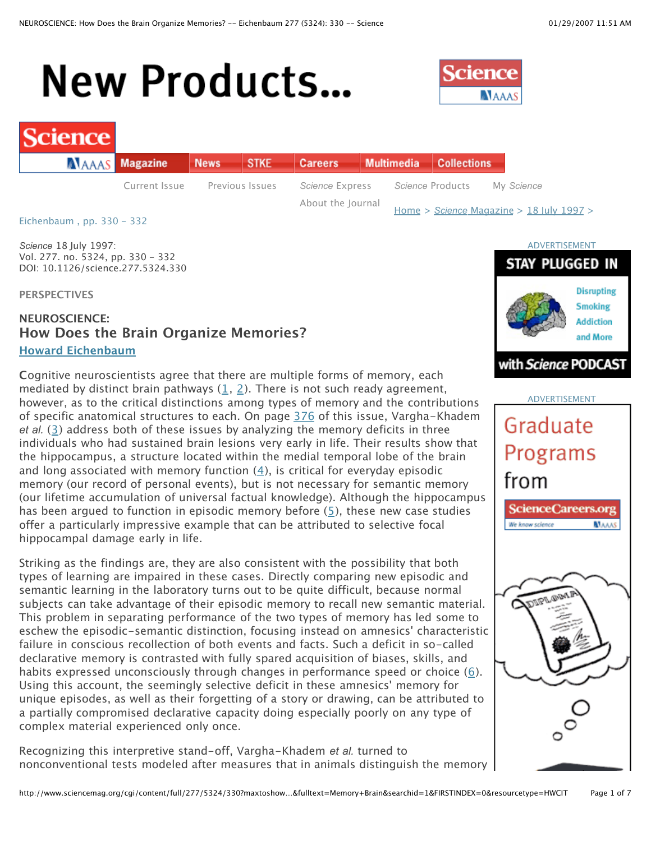# **New Products...**



# cience

| <b>ALAAAS</b> Magazine |               | News STKE       | Careers Multimedia Collections |  |                                              |            |
|------------------------|---------------|-----------------|--------------------------------|--|----------------------------------------------|------------|
|                        | Current Issue | Previous Issues | Science Express                |  | Science Products                             | Mv Science |
|                        |               |                 | About the Journal              |  | Home > Science Magazine > $18$ July $1997$ > |            |

Eichenbaum , pp. 330 - 332

*Science* 18 July 1997: Vol. 277. no. 5324, pp. 330 - 332 DOI: 10.1126/science.277.5324.330

**PERSPECTIVES**

# **NEUROSCIENCE: How Does the Brain Organize Memories? Howard Eichenbaum**

**C**ognitive neuroscientists agree that there are multiple forms of memory, each mediated by distinct brain pathways (1, 2). There is not such ready agreement, however, as to the critical distinctions among types of memory and the contributions of specific anatomical structures to each. On page 376 of this issue, Vargha-Khadem *et al.* (3) address both of these issues by analyzing the memory deficits in three individuals who had sustained brain lesions very early in life. Their results show that the hippocampus, a structure located within the medial temporal lobe of the brain and long associated with memory function  $(4)$ , is critical for everyday episodic memory (our record of personal events), but is not necessary for semantic memory (our lifetime accumulation of universal factual knowledge). Although the hippocampus has been argued to function in episodic memory before (5), these new case studies offer a particularly impressive example that can be attributed to selective focal hippocampal damage early in life.

Striking as the findings are, they are also consistent with the possibility that both types of learning are impaired in these cases. Directly comparing new episodic and semantic learning in the laboratory turns out to be quite difficult, because normal subjects can take advantage of their episodic memory to recall new semantic material. This problem in separating performance of the two types of memory has led some to eschew the episodic-semantic distinction, focusing instead on amnesics' characteristic failure in conscious recollection of both events and facts. Such a deficit in so-called declarative memory is contrasted with fully spared acquisition of biases, skills, and habits expressed unconsciously through changes in performance speed or choice (6). Using this account, the seemingly selective deficit in these amnesics' memory for unique episodes, as well as their forgetting of a story or drawing, can be attributed to a partially compromised declarative capacity doing especially poorly on any type of complex material experienced only once.

Recognizing this interpretive stand-off, Vargha-Khadem *et al.* turned to nonconventional tests modeled after measures that in animals distinguish the memory





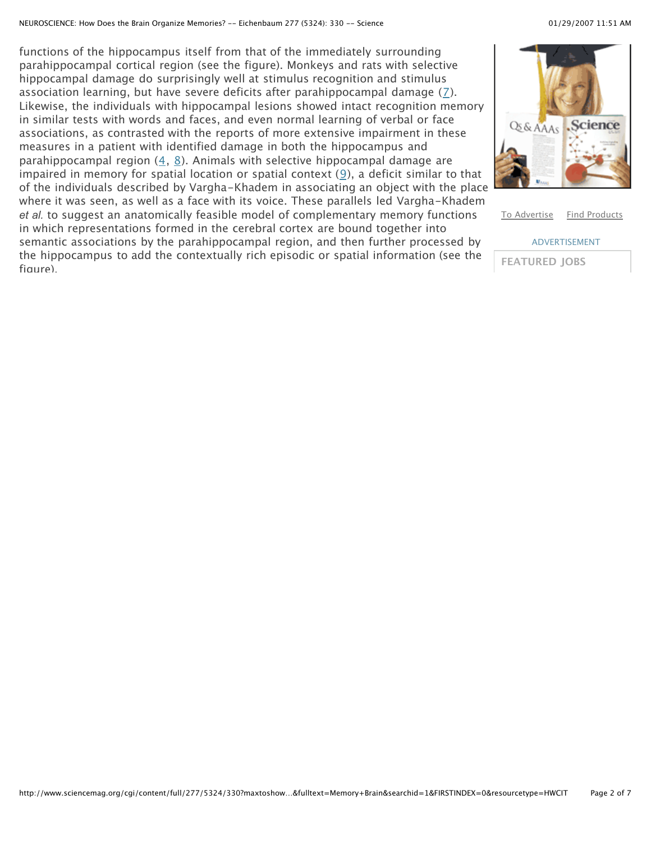functions of the hippocampus itself from that of the immediately surrounding parahippocampal cortical region (see the figure). Monkeys and rats with selective hippocampal damage do surprisingly well at stimulus recognition and stimulus association learning, but have severe deficits after parahippocampal damage  $(7)$ . Likewise, the individuals with hippocampal lesions showed intact recognition memory in similar tests with words and faces, and even normal learning of verbal or face associations, as contrasted with the reports of more extensive impairment in these measures in a patient with identified damage in both the hippocampus and parahippocampal region  $(4, 8)$ . Animals with selective hippocampal damage are impaired in memory for spatial location or spatial context  $(9)$ , a deficit similar to that of the individuals described by Vargha-Khadem in associating an object with the place where it was seen, as well as a face with its voice. These parallels led Vargha-Khadem *et al.* to suggest an anatomically feasible model of complementary memory functions in which representations formed in the cerebral cortex are bound together into semantic associations by the parahippocampal region, and then further processed by the hippocampus to add the contextually rich episodic or spatial information (see the figure).



To Advertise Find Products

ADVERTISEMENT **FEATURED JOBS**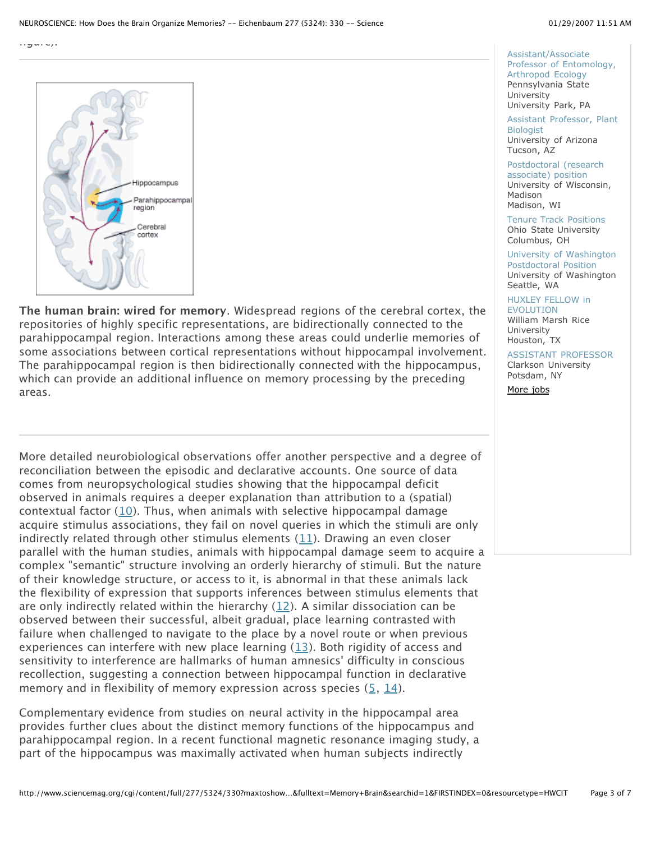

**The human brain: wired for memory**. Widespread regions of the cerebral cortex, the repositories of highly specific representations, are bidirectionally connected to the parahippocampal region. Interactions among these areas could underlie memories of some associations between cortical representations without hippocampal involvement. The parahippocampal region is then bidirectionally connected with the hippocampus, which can provide an additional influence on memory processing by the preceding areas.

More detailed neurobiological observations offer another perspective and a degree of reconciliation between the episodic and declarative accounts. One source of data comes from neuropsychological studies showing that the hippocampal deficit observed in animals requires a deeper explanation than attribution to a (spatial) contextual factor (10). Thus, when animals with selective hippocampal damage acquire stimulus associations, they fail on novel queries in which the stimuli are only indirectly related through other stimulus elements (11). Drawing an even closer parallel with the human studies, animals with hippocampal damage seem to acquire a complex "semantic" structure involving an orderly hierarchy of stimuli. But the nature of their knowledge structure, or access to it, is abnormal in that these animals lack the flexibility of expression that supports inferences between stimulus elements that are only indirectly related within the hierarchy  $(12)$ . A similar dissociation can be observed between their successful, albeit gradual, place learning contrasted with failure when challenged to navigate to the place by a novel route or when previous experiences can interfere with new place learning  $(13)$ . Both rigidity of access and sensitivity to interference are hallmarks of human amnesics' difficulty in conscious recollection, suggesting a connection between hippocampal function in declarative memory and in flexibility of memory expression across species  $(5, 14)$ .

Complementary evidence from studies on neural activity in the hippocampal area provides further clues about the distinct memory functions of the hippocampus and parahippocampal region. In a recent functional magnetic resonance imaging study, a part of the hippocampus was maximally activated when human subjects indirectly

Assistant/Associate Professor of Entomology, Arthropod Ecology Pennsylvania State University University Park, PA

Assistant Professor, Plant Biologist University of Arizona Tucson, AZ

Postdoctoral (research associate) position University of Wisconsin, Madison Madison, WI

Tenure Track Positions Ohio State University Columbus, OH

University of Washington Postdoctoral Position University of Washington Seattle, WA

HUXLEY FELLOW in

EVOLUTION William Marsh Rice University Houston, TX

### ASSISTANT PROFESSOR Clarkson University Potsdam, NY

More jobs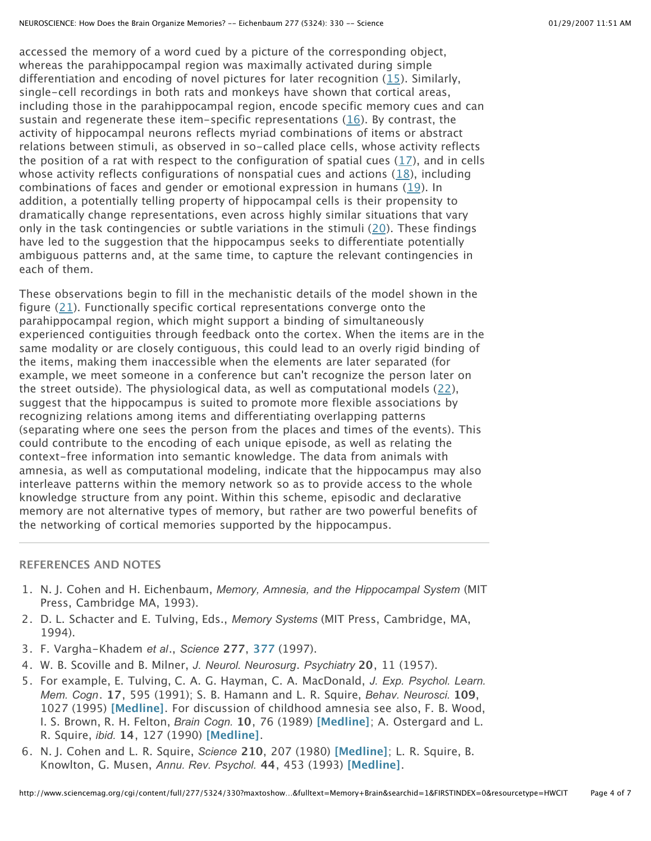accessed the memory of a word cued by a picture of the corresponding object, whereas the parahippocampal region was maximally activated during simple differentiation and encoding of novel pictures for later recognition (15). Similarly, single-cell recordings in both rats and monkeys have shown that cortical areas, including those in the parahippocampal region, encode specific memory cues and can sustain and regenerate these item-specific representations (16). By contrast, the activity of hippocampal neurons reflects myriad combinations of items or abstract relations between stimuli, as observed in so-called place cells, whose activity reflects the position of a rat with respect to the configuration of spatial cues  $(17)$ , and in cells whose activity reflects configurations of nonspatial cues and actions  $(18)$ , including combinations of faces and gender or emotional expression in humans (19). In addition, a potentially telling property of hippocampal cells is their propensity to dramatically change representations, even across highly similar situations that vary only in the task contingencies or subtle variations in the stimuli  $(20)$ . These findings have led to the suggestion that the hippocampus seeks to differentiate potentially ambiguous patterns and, at the same time, to capture the relevant contingencies in each of them.

These observations begin to fill in the mechanistic details of the model shown in the figure (21). Functionally specific cortical representations converge onto the parahippocampal region, which might support a binding of simultaneously experienced contiguities through feedback onto the cortex. When the items are in the same modality or are closely contiguous, this could lead to an overly rigid binding of the items, making them inaccessible when the elements are later separated (for example, we meet someone in a conference but can't recognize the person later on the street outside). The physiological data, as well as computational models (22), suggest that the hippocampus is suited to promote more flexible associations by recognizing relations among items and differentiating overlapping patterns (separating where one sees the person from the places and times of the events). This could contribute to the encoding of each unique episode, as well as relating the context-free information into semantic knowledge. The data from animals with amnesia, as well as computational modeling, indicate that the hippocampus may also interleave patterns within the memory network so as to provide access to the whole knowledge structure from any point. Within this scheme, episodic and declarative memory are not alternative types of memory, but rather are two powerful benefits of the networking of cortical memories supported by the hippocampus.

## **REFERENCES AND NOTES**

- 1. N. J. Cohen and H. Eichenbaum, *Memory, Amnesia, and the Hippocampal System* (MIT Press, Cambridge MA, 1993).
- 2. D. L. Schacter and E. Tulving, Eds., *Memory Systems* (MIT Press, Cambridge, MA, 1994).
- 3. F. Vargha-Khadem *et al*., *Science* **277**, **377** (1997).
- 4. W. B. Scoville and B. Milner, *J. Neurol. Neurosurg*. *Psychiatry* **20**, 11 (1957).
- 5. For example, E. Tulving, C. A. G. Hayman, C. A. MacDonald, *J. Exp. Psychol. Learn. Mem. Cogn*. **17**, 595 (1991); S. B. Hamann and L. R. Squire, *Behav. Neurosci.* **109**, 1027 (1995) **[Medline]**. For discussion of childhood amnesia see also, F. B. Wood, I. S. Brown, R. H. Felton, *Brain Cogn.* **10**, 76 (1989) **[Medline]**; A. Ostergard and L. R. Squire, *ibid.* **14**, 127 (1990) **[Medline]**.
- 6. N. J. Cohen and L. R. Squire, *Science* **210**, 207 (1980) **[Medline]**; L. R. Squire, B. Knowlton, G. Musen, *Annu. Rev. Psychol.* **44**, 453 (1993) **[Medline]**.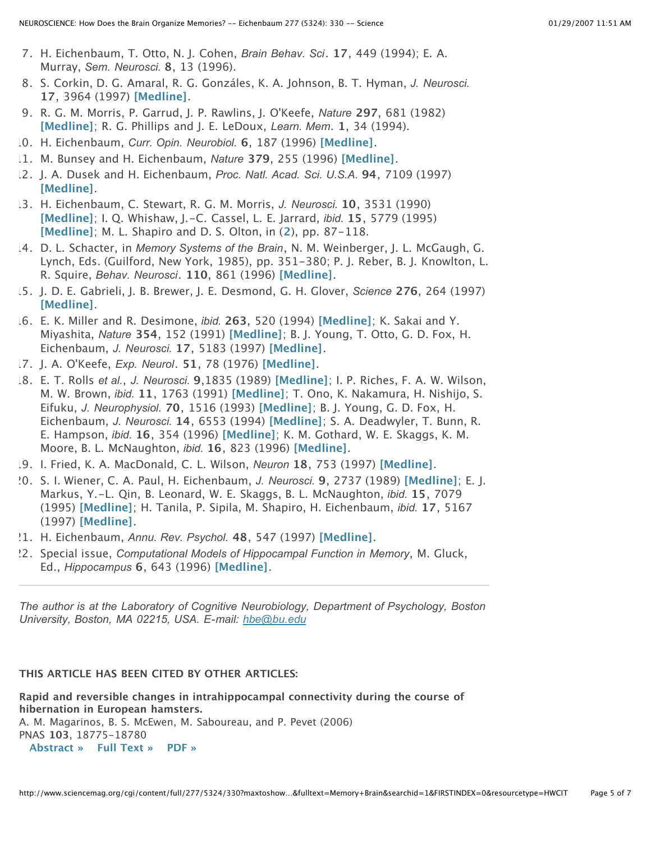- 7. H. Eichenbaum, T. Otto, N. J. Cohen, *Brain Behav. Sci*. **17**, 449 (1994); E. A. Murray, *Sem. Neurosci.* **8**, 13 (1996).
- 8. S. Corkin, D. G. Amaral, R. G. Gonzáles, K. A. Johnson, B. T. Hyman, *J. Neurosci.* **17**, 3964 (1997) **[Medline]**.
- 9. R. G. M. Morris, P. Garrud, J. P. Rawlins, J. O'Keefe, *Nature* **297**, 681 (1982) **[Medline]**; R. G. Phillips and J. E. LeDoux, *Learn. Mem*. **1**, 34 (1994).
- 10. H. Eichenbaum, *Curr. Opin. Neurobiol.* **6**, 187 (1996) **[Medline]**.
- 11. M. Bunsey and H. Eichenbaum, *Nature* **379**, 255 (1996) **[Medline]**.
- 12. J. A. Dusek and H. Eichenbaum, *Proc. Natl. Acad. Sci. U.S.A.* **94**, 7109 (1997) **[Medline]**.
- 13. H. Eichenbaum, C. Stewart, R. G. M. Morris, *J. Neurosci.* **10**, 3531 (1990) **[Medline]**; I. Q. Whishaw, J.-C. Cassel, L. E. Jarrard, *ibid.* **15**, 5779 (1995) **[Medline]**; M. L. Shapiro and D. S. Olton, in (**2**), pp. 87-118.
- 14. D. L. Schacter, in *Memory Systems of the Brain*, N. M. Weinberger, J. L. McGaugh, G. Lynch, Eds. (Guilford, New York, 1985), pp. 351-380; P. J. Reber, B. J. Knowlton, L. R. Squire, *Behav. Neurosci*. **110**, 861 (1996) **[Medline]**.
- 15. J. D. E. Gabrieli, J. B. Brewer, J. E. Desmond, G. H. Glover, *Science* **276**, 264 (1997) **[Medline]**.
- 16. E. K. Miller and R. Desimone, *ibid.* **263**, 520 (1994) **[Medline]**; K. Sakai and Y. Miyashita, *Nature* **354**, 152 (1991) **[Medline]**; B. J. Young, T. Otto, G. D. Fox, H. Eichenbaum, *J. Neurosci.* **17**, 5183 (1997) **[Medline]**.
- 17. J. A. O'Keefe, *Exp. Neurol*. **51**, 78 (1976) **[Medline]**.
- 18. E. T. Rolls *et al.*, *J. Neurosci.* **9**,1835 (1989) **[Medline]**; I. P. Riches, F. A. W. Wilson, M. W. Brown, *ibid.* **11**, 1763 (1991) **[Medline]**; T. Ono, K. Nakamura, H. Nishijo, S. Eifuku, *J. Neurophysiol.* **70**, 1516 (1993) **[Medline]**; B. J. Young, G. D. Fox, H. Eichenbaum, *J. Neurosci.* **14**, 6553 (1994) **[Medline]**; S. A. Deadwyler, T. Bunn, R. E. Hampson, *ibid.* **16**, 354 (1996) **[Medline]**; K. M. Gothard, W. E. Skaggs, K. M. Moore, B. L. McNaughton, *ibid.* **16**, 823 (1996) **[Medline]**.
- 19. I. Fried, K. A. MacDonald, C. L. Wilson, *Neuron* **18**, 753 (1997) **[Medline]**.
- 20. S. I. Wiener, C. A. Paul, H. Eichenbaum, *J. Neurosci.* **9**, 2737 (1989) **[Medline]**; E. J. Markus, Y.-L. Qin, B. Leonard, W. E. Skaggs, B. L. McNaughton, *ibid.* **15**, 7079 (1995) **[Medline]**; H. Tanila, P. Sipila, M. Shapiro, H. Eichenbaum, *ibid.* **17**, 5167 (1997) **[Medline]**.
- 21. H. Eichenbaum, *Annu. Rev. Psychol.* **48**, 547 (1997) **[Medline]**.
- 22. Special issue, *Computational Models of Hippocampal Function in Memory*, M. Gluck, Ed., *Hippocampus* **6**, 643 (1996) **[Medline]**.

*The author is at the Laboratory of Cognitive Neurobiology, Department of Psychology, Boston University, Boston, MA 02215, USA. E-mail: hbe@bu.edu*

# **THIS ARTICLE HAS BEEN CITED BY OTHER ARTICLES:**

**Rapid and reversible changes in intrahippocampal connectivity during the course of hibernation in European hamsters.** A. M. Magarinos, B. S. McEwen, M. Saboureau, and P. Pevet (2006) PNAS **103**, 18775-18780

**Abstract » Full Text » PDF »**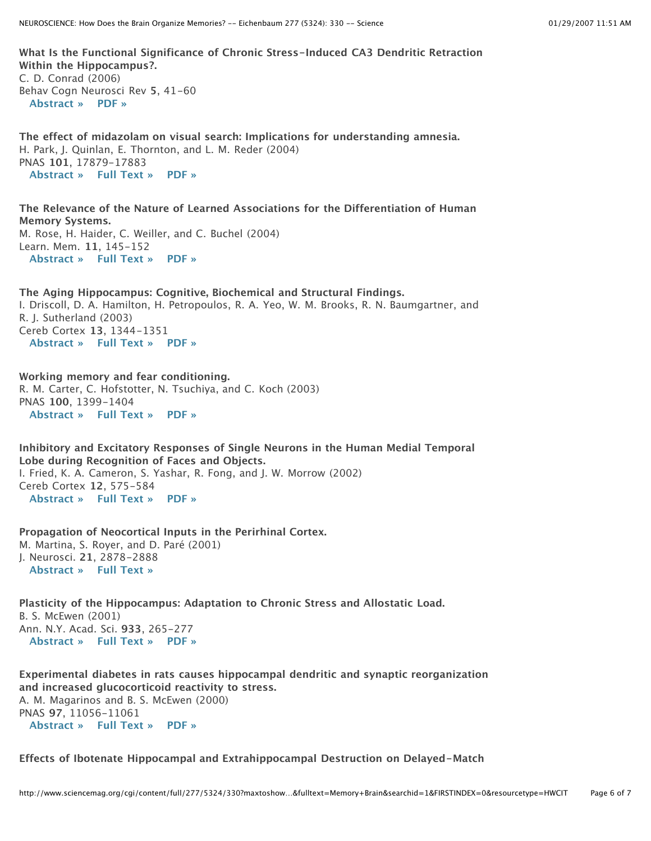**What Is the Functional Significance of Chronic Stress-Induced CA3 Dendritic Retraction Within the Hippocampus?.** C. D. Conrad (2006) Behav Cogn Neurosci Rev **5**, 41-60 **Abstract » PDF »**

**The effect of midazolam on visual search: Implications for understanding amnesia.** H. Park, J. Quinlan, E. Thornton, and L. M. Reder (2004) PNAS **101**, 17879-17883 **Abstract » Full Text » PDF »**

**The Relevance of the Nature of Learned Associations for the Differentiation of Human Memory Systems.** M. Rose, H. Haider, C. Weiller, and C. Buchel (2004) Learn. Mem. **11**, 145-152 **Abstract » Full Text » PDF »**

**The Aging Hippocampus: Cognitive, Biochemical and Structural Findings.** I. Driscoll, D. A. Hamilton, H. Petropoulos, R. A. Yeo, W. M. Brooks, R. N. Baumgartner, and R. J. Sutherland (2003) Cereb Cortex **13**, 1344-1351 **Abstract » Full Text » PDF »**

**Working memory and fear conditioning.** R. M. Carter, C. Hofstotter, N. Tsuchiya, and C. Koch (2003) PNAS **100**, 1399-1404 **Abstract » Full Text » PDF »**

**Inhibitory and Excitatory Responses of Single Neurons in the Human Medial Temporal Lobe during Recognition of Faces and Objects.** I. Fried, K. A. Cameron, S. Yashar, R. Fong, and J. W. Morrow (2002) Cereb Cortex **12**, 575-584

**Abstract » Full Text » PDF »**

**Propagation of Neocortical Inputs in the Perirhinal Cortex.** M. Martina, S. Royer, and D. Paré (2001) J. Neurosci. **21**, 2878-2888 **Abstract » Full Text »**

**Plasticity of the Hippocampus: Adaptation to Chronic Stress and Allostatic Load.** B. S. McEwen (2001) Ann. N.Y. Acad. Sci. **933**, 265-277 **Abstract » Full Text » PDF »**

**Experimental diabetes in rats causes hippocampal dendritic and synaptic reorganization and increased glucocorticoid reactivity to stress.** A. M. Magarinos and B. S. McEwen (2000) PNAS **97**, 11056-11061 **Abstract » Full Text » PDF »**

**Effects of Ibotenate Hippocampal and Extrahippocampal Destruction on Delayed-Match**